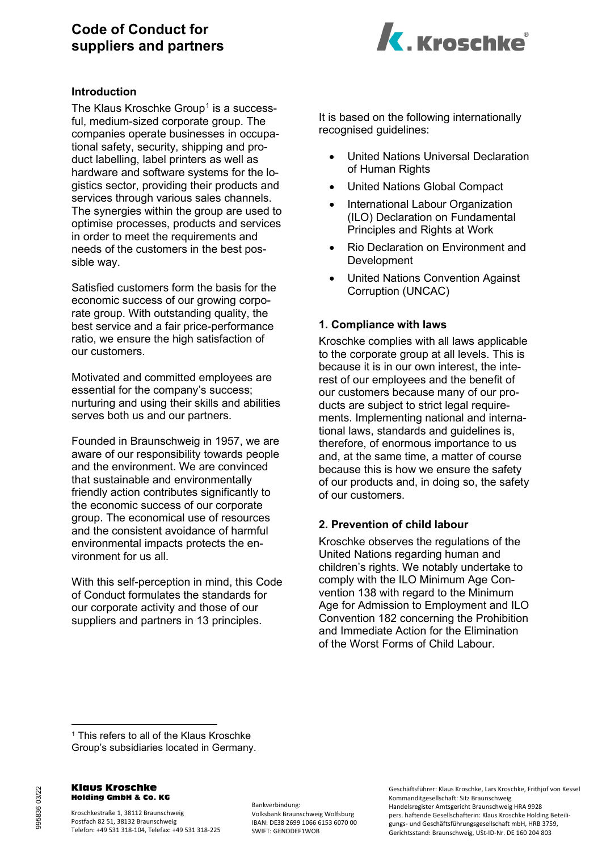# **Code of Conduct for suppliers and partners**



### **Introduction**

The Klaus Kroschke Group<sup>[1](#page-0-0)</sup> is a successful, medium-sized corporate group. The companies operate businesses in occupational safety, security, shipping and product labelling, label printers as well as hardware and software systems for the logistics sector, providing their products and services through various sales channels. The synergies within the group are used to optimise processes, products and services in order to meet the requirements and needs of the customers in the best possible way.

Satisfied customers form the basis for the economic success of our growing corporate group. With outstanding quality, the best service and a fair price-performance ratio, we ensure the high satisfaction of our customers.

Motivated and committed employees are essential for the company's success; nurturing and using their skills and abilities serves both us and our partners.

Founded in Braunschweig in 1957, we are aware of our responsibility towards people and the environment. We are convinced that sustainable and environmentally friendly action contributes significantly to the economic success of our corporate group. The economical use of resources and the consistent avoidance of harmful environmental impacts protects the environment for us all.

With this self-perception in mind, this Code of Conduct formulates the standards for our corporate activity and those of our suppliers and partners in 13 principles.

It is based on the following internationally recognised guidelines:

- United Nations Universal Declaration of Human Rights
- United Nations Global Compact
- International Labour Organization (ILO) Declaration on Fundamental Principles and Rights at Work
- Rio Declaration on Environment and Development
- United Nations Convention Against Corruption (UNCAC)

# **1. Compliance with laws**

Kroschke complies with all laws applicable to the corporate group at all levels. This is because it is in our own interest, the interest of our employees and the benefit of our customers because many of our products are subject to strict legal requirements. Implementing national and international laws, standards and guidelines is, therefore, of enormous importance to us and, at the same time, a matter of course because this is how we ensure the safety of our products and, in doing so, the safety of our customers.

# **2. Prevention of child labour**

Kroschke observes the regulations of the United Nations regarding human and children's rights. We notably undertake to comply with the ILO Minimum Age Convention 138 with regard to the Minimum Age for Admission to Employment and ILO Convention 182 concerning the Prohibition and Immediate Action for the Elimination of the Worst Forms of Child Labour.

#### Klaus Kroschke Holding GmbH & Co. KG

Kroschkestraße 1, 38112 Braunschweig Postfach 82 51, 38132 Braunschweig Telefon: +49 531 318-104, Telefax: +49 531 318-225 Bankverbindung: Volksbank Braunschweig Wolfsburg IBAN: DE38 2699 1066 6153 6070 00 SWIFT: GENODEF1WOB

Geschäftsführer: Klaus Kroschke, Lars Kroschke, Frithjof von Kessel Kommanditgesellschaft: Sitz Braunschweig Handelsregister Amtsgericht Braunschweig HRA 9928 pers. haftende Gesellschafterin: Klaus Kroschke Holding Beteiligungs- und Geschäftsführungsgesellschaft mbH, HRB 3759, Gerichtsstand: Braunschweig, USt-ID-Nr. DE 160 204 803

<span id="page-0-0"></span><sup>&</sup>lt;sup>1</sup> This refers to all of the Klaus Kroschke Group's subsidiaries located in Germany.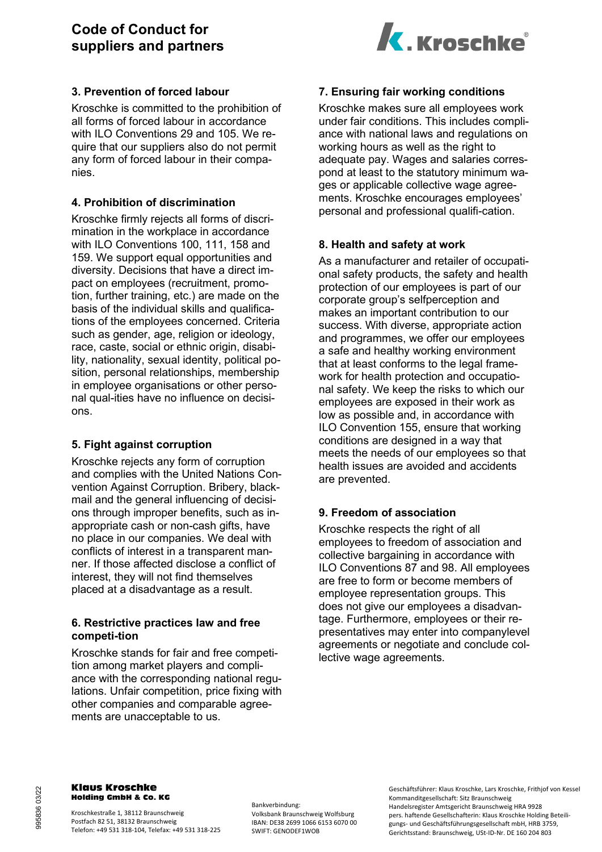# **Code of Conduct for suppliers and partners**



# **3. Prevention of forced labour**

Kroschke is committed to the prohibition of all forms of forced labour in accordance with ILO Conventions 29 and 105. We require that our suppliers also do not permit any form of forced labour in their companies.

# **4. Prohibition of discrimination**

Kroschke firmly rejects all forms of discrimination in the workplace in accordance with ILO Conventions 100, 111, 158 and 159. We support equal opportunities and diversity. Decisions that have a direct impact on employees (recruitment, promotion, further training, etc.) are made on the basis of the individual skills and qualifications of the employees concerned. Criteria such as gender, age, religion or ideology, race, caste, social or ethnic origin, disability, nationality, sexual identity, political position, personal relationships, membership in employee organisations or other personal qual-ities have no influence on decisions.

### **5. Fight against corruption**

Kroschke rejects any form of corruption and complies with the United Nations Convention Against Corruption. Bribery, blackmail and the general influencing of decisions through improper benefits, such as inappropriate cash or non-cash gifts, have no place in our companies. We deal with conflicts of interest in a transparent manner. If those affected disclose a conflict of interest, they will not find themselves placed at a disadvantage as a result.

### **6. Restrictive practices law and free competi-tion**

Kroschke stands for fair and free competition among market players and compliance with the corresponding national regulations. Unfair competition, price fixing with other companies and comparable agreements are unacceptable to us.

# **7. Ensuring fair working conditions**

Kroschke makes sure all employees work under fair conditions. This includes compliance with national laws and regulations on working hours as well as the right to adequate pay. Wages and salaries correspond at least to the statutory minimum wages or applicable collective wage agreements. Kroschke encourages employees' personal and professional qualifi-cation.

# **8. Health and safety at work**

As a manufacturer and retailer of occupational safety products, the safety and health protection of our employees is part of our corporate group's selfperception and makes an important contribution to our success. With diverse, appropriate action and programmes, we offer our employees a safe and healthy working environment that at least conforms to the legal framework for health protection and occupational safety. We keep the risks to which our employees are exposed in their work as low as possible and, in accordance with ILO Convention 155, ensure that working conditions are designed in a way that meets the needs of our employees so that health issues are avoided and accidents are prevented.

# **9. Freedom of association**

Kroschke respects the right of all employees to freedom of association and collective bargaining in accordance with ILO Conventions 87 and 98. All employees are free to form or become members of employee representation groups. This does not give our employees a disadvantage. Furthermore, employees or their representatives may enter into companylevel agreements or negotiate and conclude collective wage agreements.

#### Klaus Kroschke Holding GmbH & Co. KG

Kroschkestraße 1, 38112 Braunschweig Postfach 82 51, 38132 Braunschweig Telefon: +49 531 318-104, Telefax: +49 531 318-225 Bankverbindung: Volksbank Braunschweig Wolfsburg IBAN: DE38 2699 1066 6153 6070 00 SWIFT: GENODEF1WOB

Geschäftsführer: Klaus Kroschke, Lars Kroschke, Frithjof von Kessel Kommanditgesellschaft: Sitz Braunschweig Handelsregister Amtsgericht Braunschweig HRA 9928 pers. haftende Gesellschafterin: Klaus Kroschke Holding Beteiligungs- und Geschäftsführungsgesellschaft mbH, HRB 3759, Gerichtsstand: Braunschweig, USt-ID-Nr. DE 160 204 803